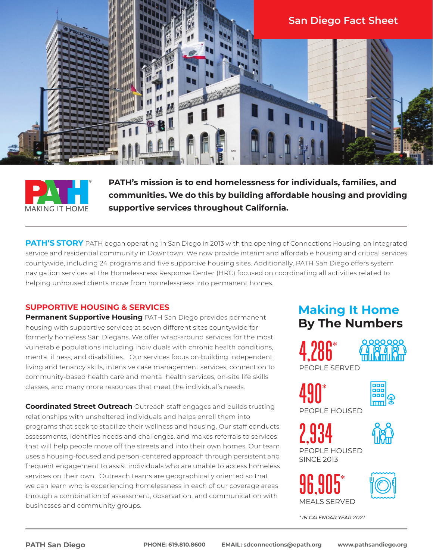



**PATH's mission is to end homelessness for individuals, families, and communities. We do this by building affordable housing and providing supportive services throughout California.** 

**PATH'S STORY** PATH began operating in San Diego in 2013 with the opening of Connections Housing, an integrated service and residential community in Downtown. We now provide interim and affordable housing and critical services countywide, including 24 programs and five supportive housing sites. Additionally, PATH San Diego offers system navigation services at the Homelessness Response Center (HRC) focused on coordinating all activities related to helping unhoused clients move from homelessness into permanent homes.

## **SUPPORTIVE HOUSING & SERVICES**

**Permanent Supportive Housing** PATH San Diego provides permanent housing with supportive services at seven different sites countywide for formerly homeless San Diegans. We offer wrap-around services for the most vulnerable populations including individuals with chronic health conditions, mental illness, and disabilities. Our services focus on building independent living and tenancy skills, intensive case management services, connection to community-based health care and mental health services, on-site life skills classes, and many more resources that meet the individual's needs.

**Coordinated Street Outreach** Outreach staff engages and builds trusting relationships with unsheltered individuals and helps enroll them into programs that seek to stabilize their wellness and housing. Our staff conducts assessments, identifies needs and challenges, and makes referrals to services that will help people move off the streets and into their own homes. Our team uses a housing-focused and person-centered approach through persistent and frequent engagement to assist individuals who are unable to access homeless services on their own. Outreach teams are geographically oriented so that we can learn who is experiencing homelessness in each of our coverage areas through a combination of assessment, observation, and communication with businesses and community groups.

# **Making It Home By The Numbers**





PEOPLE SERVED

490\*



PEOPLE HOUSED

PEOPLE HOUSED SINCE 2013 2,934



96,905\*

MEALS SERVED



*\* IN CALENDAR YEAR 2021*